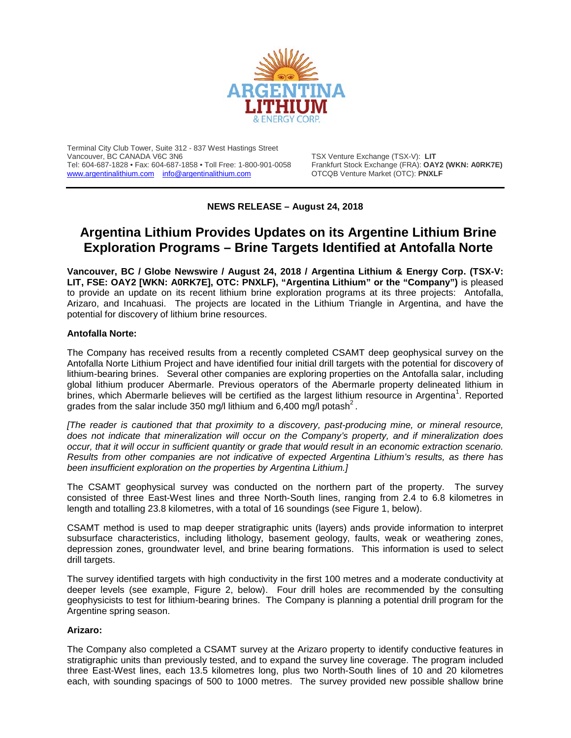

Terminal City Club Tower, Suite 312 - 837 West Hastings Street Tel: 604-687-1828 • Fax: 604-687-1858 • Toll Free: 1-800-901-0058 Frankfurt Stock Exchange (FRA): OAY2<br>
www.argentinalithium.com info@argentinalithium.com OTCQB Venture Market (OTC): PNXLF [www.argentinalithium.com](http://www.argentinalithium.com/) [info@argentinalithium.com](mailto:info@argentinalithium.com)

TSX Venture Exchange (TSX-V): LIT<br>Frankfurt Stock Exchange (FRA): **OAY2 (WKN: A0RK7E)** 

**NEWS RELEASE – August 24, 2018**

# **Argentina Lithium Provides Updates on its Argentine Lithium Brine Exploration Programs – Brine Targets Identified at Antofalla Norte**

**Vancouver, BC / Globe Newswire / August 24, 2018 / Argentina Lithium & Energy Corp. (TSX-V: LIT, FSE: OAY2 [WKN: A0RK7E], OTC: PNXLF), "Argentina Lithium" or the "Company")** is pleased to provide an update on its recent lithium brine exploration programs at its three projects: Antofalla, Arizaro, and Incahuasi. The projects are located in the Lithium Triangle in Argentina, and have the potential for discovery of lithium brine resources.

# **Antofalla Norte:**

The Company has received results from a recently completed CSAMT deep geophysical survey on the Antofalla Norte Lithium Project and have identified four initial drill targets with the potential for discovery of lithium-bearing brines. Several other companies are exploring properties on the Antofalla salar, including global lithium producer Abermarle. Previous operators of the Abermarle property delineated lithium in brines, which Abermarle believes will be certified as the largest lithium resource in Argentina<sup>1</sup>. Reported grades from the salar include 350 mg/l lithium and 6,400 mg/l potash<sup>2</sup>.

*[The reader is cautioned that that proximity to a discovery, past-producing mine, or mineral resource, does not indicate that mineralization will occur on the Company's property, and if mineralization does occur, that it will occur in sufficient quantity or grade that would result in an economic extraction scenario. Results from other companies are not indicative of expected Argentina Lithium's results, as there has been insufficient exploration on the properties by Argentina Lithium.]*

The CSAMT geophysical survey was conducted on the northern part of the property. The survey consisted of three East-West lines and three North-South lines, ranging from 2.4 to 6.8 kilometres in length and totalling 23.8 kilometres, with a total of 16 soundings (see Figure 1, below).

CSAMT method is used to map deeper stratigraphic units (layers) ands provide information to interpret subsurface characteristics, including lithology, basement geology, faults, weak or weathering zones, depression zones, groundwater level, and brine bearing formations. This information is used to select drill targets.

The survey identified targets with high conductivity in the first 100 metres and a moderate conductivity at deeper levels (see example, Figure 2, below). Four drill holes are recommended by the consulting geophysicists to test for lithium-bearing brines. The Company is planning a potential drill program for the Argentine spring season.

#### **Arizaro:**

The Company also completed a CSAMT survey at the Arizaro property to identify conductive features in stratigraphic units than previously tested, and to expand the survey line coverage. The program included three East-West lines, each 13.5 kilometres long, plus two North-South lines of 10 and 20 kilometres each, with sounding spacings of 500 to 1000 metres. The survey provided new possible shallow brine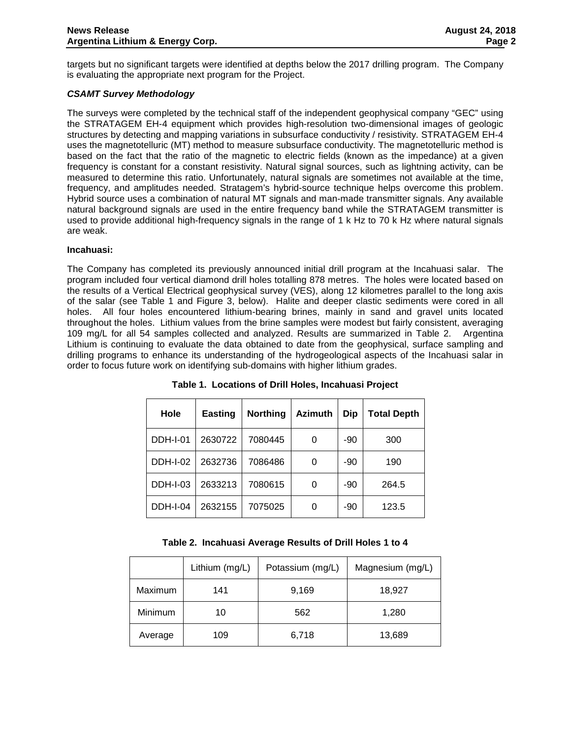targets but no significant targets were identified at depths below the 2017 drilling program. The Company is evaluating the appropriate next program for the Project.

# *CSAMT Survey Methodology*

The surveys were completed by the technical staff of the independent geophysical company "GEC" using the STRATAGEM EH-4 equipment which provides high-resolution two-dimensional images of geologic structures by detecting and mapping variations in subsurface conductivity / resistivity. STRATAGEM EH-4 uses the magnetotelluric (MT) method to measure subsurface conductivity. The magnetotelluric method is based on the fact that the ratio of the magnetic to electric fields (known as the impedance) at a given frequency is constant for a constant resistivity. Natural signal sources, such as lightning activity, can be measured to determine this ratio. Unfortunately, natural signals are sometimes not available at the time, frequency, and amplitudes needed. Stratagem's hybrid-source technique helps overcome this problem. Hybrid source uses a combination of natural MT signals and man-made transmitter signals. Any available natural background signals are used in the entire frequency band while the STRATAGEM transmitter is used to provide additional high-frequency signals in the range of 1 k Hz to 70 k Hz where natural signals are weak.

#### **Incahuasi:**

The Company has completed its previously announced initial drill program at the Incahuasi salar. The program included four vertical diamond drill holes totalling 878 metres. The holes were located based on the results of a Vertical Electrical geophysical survey (VES), along 12 kilometres parallel to the long axis of the salar (see Table 1 and Figure 3, below). Halite and deeper clastic sediments were cored in all holes. All four holes encountered lithium-bearing brines, mainly in sand and gravel units located throughout the holes. Lithium values from the brine samples were modest but fairly consistent, averaging 109 mg/L for all 54 samples collected and analyzed. Results are summarized in Table 2. Argentina Lithium is continuing to evaluate the data obtained to date from the geophysical, surface sampling and drilling programs to enhance its understanding of the hydrogeological aspects of the Incahuasi salar in order to focus future work on identifying sub-domains with higher lithium grades.

| Hole            | <b>Easting</b> | <b>Northing</b> | <b>Azimuth</b> | <b>Dip</b> | Total Depth |
|-----------------|----------------|-----------------|----------------|------------|-------------|
| <b>DDH-I-01</b> | 2630722        | 7080445         | 0              | -90        | 300         |
| <b>DDH-I-02</b> | 2632736        | 7086486         | 0              | -90        | 190         |
| <b>DDH-I-03</b> | 2633213        | 7080615         | 0              | -90        | 264.5       |
| <b>DDH-I-04</b> | 2632155        | 7075025         | 0              | -90        | 123.5       |

**Table 1. Locations of Drill Holes, Incahuasi Project**

|  | Table 2. Incahuasi Average Results of Drill Holes 1 to 4 |  |  |  |  |  |  |  |
|--|----------------------------------------------------------|--|--|--|--|--|--|--|
|--|----------------------------------------------------------|--|--|--|--|--|--|--|

|         | Lithium (mg/L) | Potassium (mg/L) | Magnesium (mg/L) |
|---------|----------------|------------------|------------------|
| Maximum | 141            | 9,169            | 18,927           |
| Minimum | 10             | 562              | 1,280            |
| Average | 109            | 6,718            | 13,689           |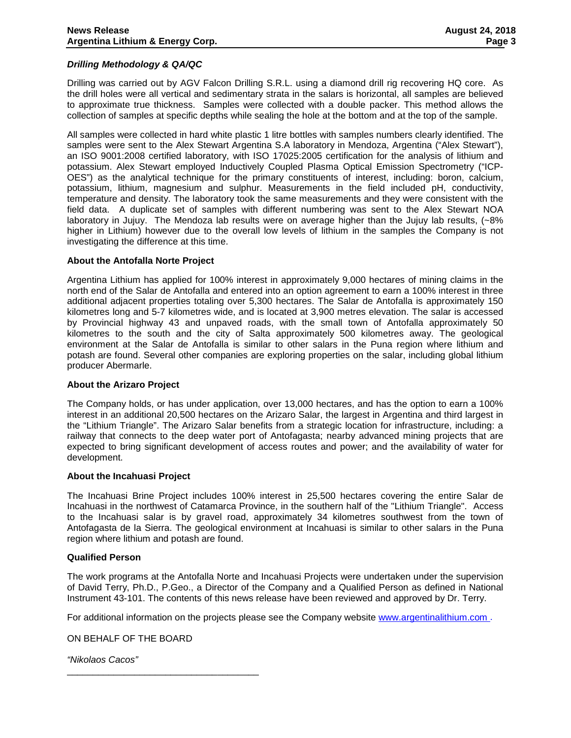### *Drilling Methodology & QA/QC*

Drilling was carried out by AGV Falcon Drilling S.R.L. using a diamond drill rig recovering HQ core. As the drill holes were all vertical and sedimentary strata in the salars is horizontal, all samples are believed to approximate true thickness. Samples were collected with a double packer. This method allows the collection of samples at specific depths while sealing the hole at the bottom and at the top of the sample.

All samples were collected in hard white plastic 1 litre bottles with samples numbers clearly identified. The samples were sent to the Alex Stewart Argentina S.A laboratory in Mendoza, Argentina ("Alex Stewart"), an ISO 9001:2008 certified laboratory, with ISO 17025:2005 certification for the analysis of lithium and potassium. Alex Stewart employed Inductively Coupled Plasma Optical Emission Spectrometry ("ICP-OES") as the analytical technique for the primary constituents of interest, including: boron, calcium, potassium, lithium, magnesium and sulphur. Measurements in the field included pH, conductivity, temperature and density. The laboratory took the same measurements and they were consistent with the field data. A duplicate set of samples with different numbering was sent to the Alex Stewart NOA laboratory in Jujuy. The Mendoza lab results were on average higher than the Jujuy lab results, (~8% higher in Lithium) however due to the overall low levels of lithium in the samples the Company is not investigating the difference at this time.

#### **About the Antofalla Norte Project**

Argentina Lithium has applied for 100% interest in approximately 9,000 hectares of mining claims in the north end of the Salar de Antofalla and entered into an option agreement to earn a 100% interest in three additional adjacent properties totaling over 5,300 hectares. The Salar de Antofalla is approximately 150 kilometres long and 5-7 kilometres wide, and is located at 3,900 metres elevation. The salar is accessed by Provincial highway 43 and unpaved roads, with the small town of Antofalla approximately 50 kilometres to the south and the city of Salta approximately 500 kilometres away. The geological environment at the Salar de Antofalla is similar to other salars in the Puna region where lithium and potash are found. Several other companies are exploring properties on the salar, including global lithium producer Abermarle.

#### **About the Arizaro Project**

The Company holds, or has under application, over 13,000 hectares, and has the option to earn a 100% interest in an additional 20,500 hectares on the Arizaro Salar, the largest in Argentina and third largest in the "Lithium Triangle". The Arizaro Salar benefits from a strategic location for infrastructure, including: a railway that connects to the deep water port of Antofagasta; nearby advanced mining projects that are expected to bring significant development of access routes and power; and the availability of water for development.

#### **About the Incahuasi Project**

The Incahuasi Brine Project includes 100% interest in 25,500 hectares covering the entire Salar de Incahuasi in the northwest of Catamarca Province, in the southern half of the "Lithium Triangle". Access to the Incahuasi salar is by gravel road, approximately 34 kilometres southwest from the town of Antofagasta de la Sierra. The geological environment at Incahuasi is similar to other salars in the Puna region where lithium and potash are found.

#### **Qualified Person**

The work programs at the Antofalla Norte and Incahuasi Projects were undertaken under the supervision of David Terry, Ph.D., P.Geo., a Director of the Company and a Qualified Person as defined in National Instrument 43-101. The contents of this news release have been reviewed and approved by Dr. Terry.

For additional information on the projects please see the Company website [www.argentinalithium.com](http://www.argentinalithium.com/) .

ON BEHALF OF THE BOARD

\_\_\_\_\_\_\_\_\_\_\_\_\_\_\_\_\_\_\_\_\_\_\_\_\_\_\_\_\_\_\_\_\_\_\_\_\_

*"Nikolaos Cacos"*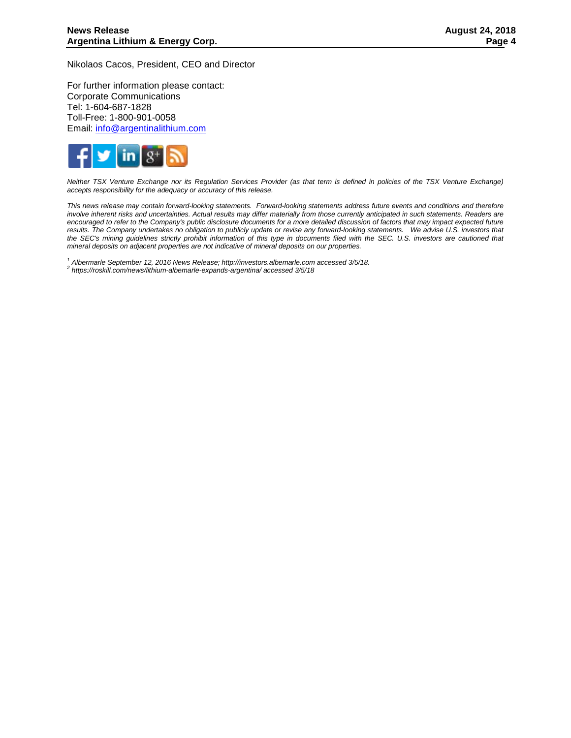Nikolaos Cacos, President, CEO and Director

For further information please contact: Corporate Communications Tel: 1-604-687-1828 Toll-Free: 1-800-901-0058 Email: [info@argentinalithium.com](mailto:info@argentinalithium.com)



*Neither TSX Venture Exchange nor its Regulation Services Provider (as that term is defined in policies of the TSX Venture Exchange) accepts responsibility for the adequacy or accuracy of this release.* 

*This news release may contain forward-looking statements. Forward-looking statements address future events and conditions and therefore involve inherent risks and uncertainties. Actual results may differ materially from those currently anticipated in such statements. Readers are encouraged to refer to the Company's public disclosure documents for a more detailed discussion of factors that may impact expected future results. The Company undertakes no obligation to publicly update or revise any forward-looking statements. We advise U.S. investors that the SEC's mining guidelines strictly prohibit information of this type in documents filed with the SEC. U.S. investors are cautioned that mineral deposits on adjacent properties are not indicative of mineral deposits on our properties.*

*<sup>1</sup> Albermarle September 12, 2016 News Release; http://investors.albemarle.com accessed 3/5/18. <sup>2</sup> https://roskill.com/news/lithium-albemarle-expands-argentina/ accessed 3/5/18*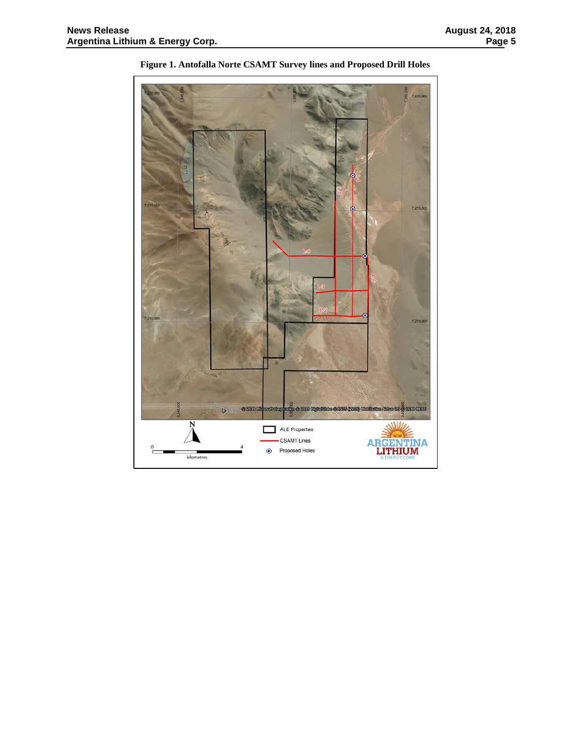

**Figure 1. Antofalla Norte CSAMT Survey lines and Proposed Drill Holes**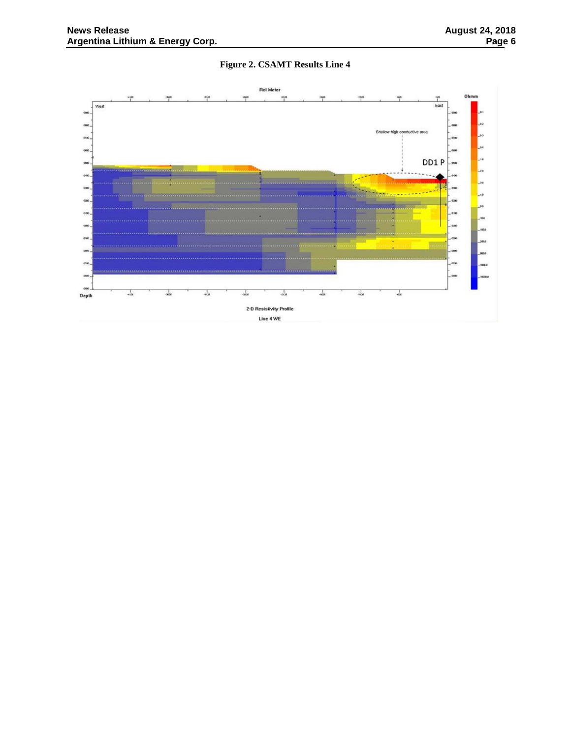# **Figure 2. CSAMT Results Line 4**